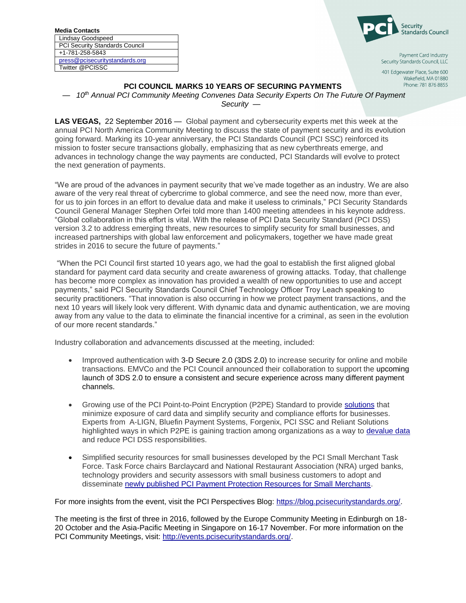| <b>Media Contacts</b>          |
|--------------------------------|
| Lindsay Goodspeed              |
| PCI Security Standards Council |
| +1-781-258-5843                |
| press@pcisecuritystandards.org |
| Twitter @PCISSC                |
|                                |



Payment Card Industry Security Standards Council, LLC

401 Edgewater Place, Suite 600 Wakefield, MA 01880 Phone: 781 876 8855

## **PCI COUNCIL MARKS 10 YEARS OF SECURING PAYMENTS**

— *10 th Annual PCI Community Meeting Convenes Data Security Experts On The Future Of Payment Security —*

**LAS VEGAS,** 22 September 2016 — Global payment and cybersecurity experts met this week at the annual PCI North America Community Meeting to discuss the state of payment security and its evolution going forward. Marking its 10-year anniversary, the PCI Standards Council (PCI SSC) reinforced its mission to foster secure transactions globally, emphasizing that as new cyberthreats emerge, and advances in technology change the way payments are conducted, PCI Standards will evolve to protect the next generation of payments.

"We are proud of the advances in payment security that we've made together as an industry. We are also aware of the very real threat of cybercrime to global commerce, and see the need now, more than ever, for us to join forces in an effort to devalue data and make it useless to criminals," PCI Security Standards Council General Manager Stephen Orfei told more than 1400 meeting attendees in his keynote address. "Global collaboration in this effort is vital. With the release of PCI Data Security Standard (PCI DSS) version 3.2 to address emerging threats, new resources to simplify security for small businesses, and increased partnerships with global law enforcement and policymakers, together we have made great strides in 2016 to secure the future of payments."

"When the PCI Council first started 10 years ago, we had the goal to establish the first aligned global standard for payment card data security and create awareness of growing attacks. Today, that challenge has become more complex as innovation has provided a wealth of new opportunities to use and accept payments," said PCI Security Standards Council Chief Technology Officer Troy Leach speaking to security practitioners. "That innovation is also occurring in how we protect payment transactions, and the next 10 years will likely look very different. With dynamic data and dynamic authentication, we are moving away from any value to the data to eliminate the financial incentive for a criminal, as seen in the evolution of our more recent standards."

Industry collaboration and advancements discussed at the meeting, included:

- Improved authentication with 3-D Secure 2.0 (3DS 2.0) to increase security for online and mobile transactions. EMVCo and the PCI Council announced their collaboration to support the upcoming launch of 3DS 2.0 to ensure a consistent and secure experience across many different payment channels.
- Growing use of the PCI Point-to-Point Encryption (P2PE) Standard to provide [solutions](https://www.pcisecuritystandards.org/documents/P2PE_Solutions_for_Merchants_v2.pdf) that minimize exposure of card data and simplify security and compliance efforts for businesses. Experts from A-LIGN, Bluefin Payment Systems, Forgenix, PCI SSC and Reliant Solutions highlighted ways in which P2PE is gaining traction among organizations as a way to [devalue data](https://www.pcisecuritystandards.org/documents/PCI-CyberCrime-FinalR.pdf) and reduce PCI DSS responsibilities.
- Simplified security resources for small businesses developed by the PCI Small Merchant Task Force. Task Force chairs Barclaycard and National Restaurant Association (NRA) urged banks, technology providers and security assessors with small business customers to adopt and disseminate [newly published PCI Payment Protection Resources for Small Merchants.](https://www.pcisecuritystandards.org/pdfs/SMTF_Press_Release.pdf)

For more insights from the event, visit the PCI Perspectives Blog: [https://blog.pcisecuritystandards.org/.](https://blog.pcisecuritystandards.org/)

The meeting is the first of three in 2016, followed by the Europe Community Meeting in Edinburgh on 18- 20 October and the Asia-Pacific Meeting in Singapore on 16-17 November. For more information on the PCI Community Meetings, visit: [http://events.pcisecuritystandards.org/.](http://events.pcisecuritystandards.org/)